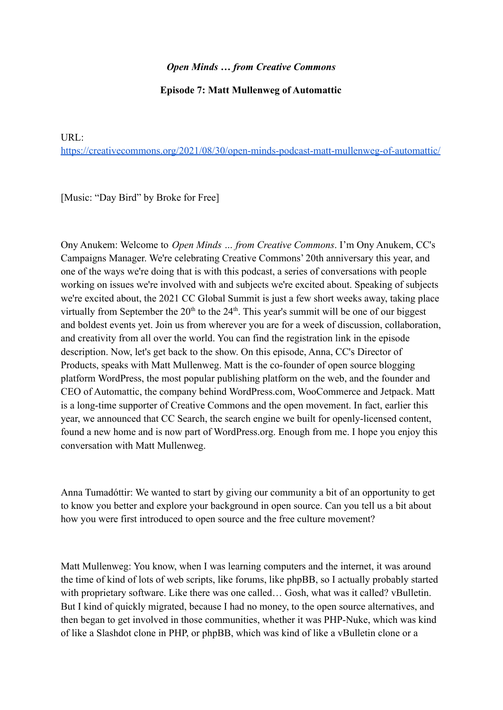## *Open Minds … from Creative Commons*

## **Episode 7: Matt Mullenweg of Automattic**

URL[:](https://creativecommons.org/2021/08/30/open-minds-podcast-matt-mullenweg-of-automattic/)

<https://creativecommons.org/2021/08/30/open-minds-podcast-matt-mullenweg-of-automattic/>

[Music: "Day Bird" by Broke for Free]

Ony Anukem: Welcome to *Open Minds … from Creative Commons*. I'm Ony Anukem, CC's Campaigns Manager. We're celebrating Creative Commons' 20th anniversary this year, and one of the ways we're doing that is with this podcast, a series of conversations with people working on issues we're involved with and subjects we're excited about. Speaking of subjects we're excited about, the 2021 CC Global Summit is just a few short weeks away, taking place virtually from September the  $20<sup>th</sup>$  to the  $24<sup>th</sup>$ . This year's summit will be one of our biggest and boldest events yet. Join us from wherever you are for a week of discussion, collaboration, and creativity from all over the world. You can find the registration link in the episode description. Now, let's get back to the show. On this episode, Anna, CC's Director of Products, speaks with Matt Mullenweg. Matt is the co-founder of open source blogging platform WordPress, the most popular publishing platform on the web, and the founder and CEO of Automattic, the company behind WordPress.com, WooCommerce and Jetpack. Matt is a long-time supporter of Creative Commons and the open movement. In fact, earlier this year, we announced that CC Search, the search engine we built for openly-licensed content, found a new home and is now part of WordPress.org. Enough from me. I hope you enjoy this conversation with Matt Mullenweg.

Anna Tumadóttir: We wanted to start by giving our community a bit of an opportunity to get to know you better and explore your background in open source. Can you tell us a bit about how you were first introduced to open source and the free culture movement?

Matt Mullenweg: You know, when I was learning computers and the internet, it was around the time of kind of lots of web scripts, like forums, like phpBB, so I actually probably started with proprietary software. Like there was one called... Gosh, what was it called? vBulletin. But I kind of quickly migrated, because I had no money, to the open source alternatives, and then began to get involved in those communities, whether it was PHP-Nuke, which was kind of like a Slashdot clone in PHP, or phpBB, which was kind of like a vBulletin clone or a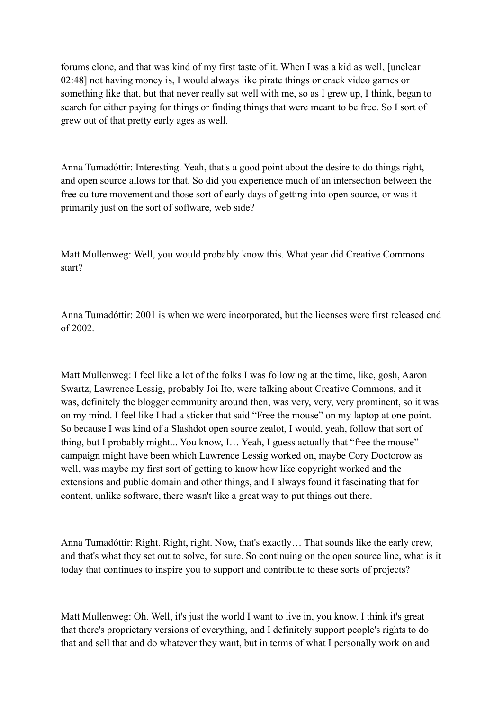forums clone, and that was kind of my first taste of it. When I was a kid as well, [unclear 02:48] not having money is, I would always like pirate things or crack video games or something like that, but that never really sat well with me, so as I grew up, I think, began to search for either paying for things or finding things that were meant to be free. So I sort of grew out of that pretty early ages as well.

Anna Tumadóttir: Interesting. Yeah, that's a good point about the desire to do things right, and open source allows for that. So did you experience much of an intersection between the free culture movement and those sort of early days of getting into open source, or was it primarily just on the sort of software, web side?

Matt Mullenweg: Well, you would probably know this. What year did Creative Commons start?

Anna Tumadóttir: 2001 is when we were incorporated, but the licenses were first released end of 2002.

Matt Mullenweg: I feel like a lot of the folks I was following at the time, like, gosh, Aaron Swartz, Lawrence Lessig, probably Joi Ito, were talking about Creative Commons, and it was, definitely the blogger community around then, was very, very, very prominent, so it was on my mind. I feel like I had a sticker that said "Free the mouse" on my laptop at one point. So because I was kind of a Slashdot open source zealot, I would, yeah, follow that sort of thing, but I probably might... You know, I… Yeah, I guess actually that "free the mouse" campaign might have been which Lawrence Lessig worked on, maybe Cory Doctorow as well, was maybe my first sort of getting to know how like copyright worked and the extensions and public domain and other things, and I always found it fascinating that for content, unlike software, there wasn't like a great way to put things out there.

Anna Tumadóttir: Right. Right, right. Now, that's exactly… That sounds like the early crew, and that's what they set out to solve, for sure. So continuing on the open source line, what is it today that continues to inspire you to support and contribute to these sorts of projects?

Matt Mullenweg: Oh. Well, it's just the world I want to live in, you know. I think it's great that there's proprietary versions of everything, and I definitely support people's rights to do that and sell that and do whatever they want, but in terms of what I personally work on and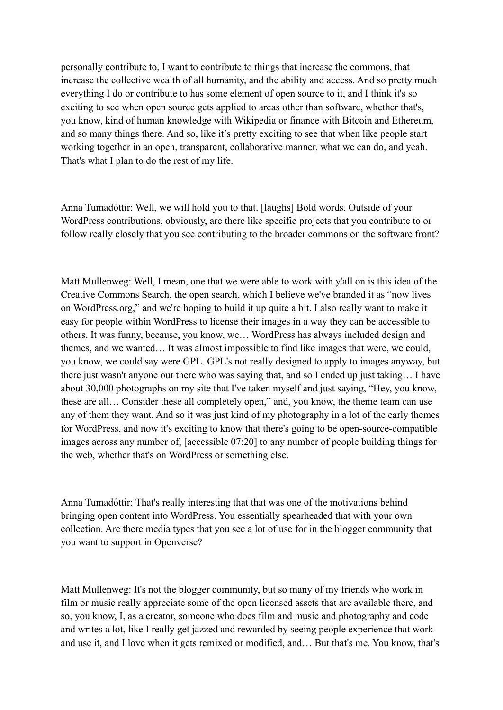personally contribute to, I want to contribute to things that increase the commons, that increase the collective wealth of all humanity, and the ability and access. And so pretty much everything I do or contribute to has some element of open source to it, and I think it's so exciting to see when open source gets applied to areas other than software, whether that's, you know, kind of human knowledge with Wikipedia or finance with Bitcoin and Ethereum, and so many things there. And so, like it's pretty exciting to see that when like people start working together in an open, transparent, collaborative manner, what we can do, and yeah. That's what I plan to do the rest of my life.

Anna Tumadóttir: Well, we will hold you to that. [laughs] Bold words. Outside of your WordPress contributions, obviously, are there like specific projects that you contribute to or follow really closely that you see contributing to the broader commons on the software front?

Matt Mullenweg: Well, I mean, one that we were able to work with y'all on is this idea of the Creative Commons Search, the open search, which I believe we've branded it as "now lives on WordPress.org," and we're hoping to build it up quite a bit. I also really want to make it easy for people within WordPress to license their images in a way they can be accessible to others. It was funny, because, you know, we… WordPress has always included design and themes, and we wanted… It was almost impossible to find like images that were, we could, you know, we could say were GPL. GPL's not really designed to apply to images anyway, but there just wasn't anyone out there who was saying that, and so I ended up just taking… I have about 30,000 photographs on my site that I've taken myself and just saying, "Hey, you know, these are all… Consider these all completely open," and, you know, the theme team can use any of them they want. And so it was just kind of my photography in a lot of the early themes for WordPress, and now it's exciting to know that there's going to be open-source-compatible images across any number of, [accessible 07:20] to any number of people building things for the web, whether that's on WordPress or something else.

Anna Tumadóttir: That's really interesting that that was one of the motivations behind bringing open content into WordPress. You essentially spearheaded that with your own collection. Are there media types that you see a lot of use for in the blogger community that you want to support in Openverse?

Matt Mullenweg: It's not the blogger community, but so many of my friends who work in film or music really appreciate some of the open licensed assets that are available there, and so, you know, I, as a creator, someone who does film and music and photography and code and writes a lot, like I really get jazzed and rewarded by seeing people experience that work and use it, and I love when it gets remixed or modified, and… But that's me. You know, that's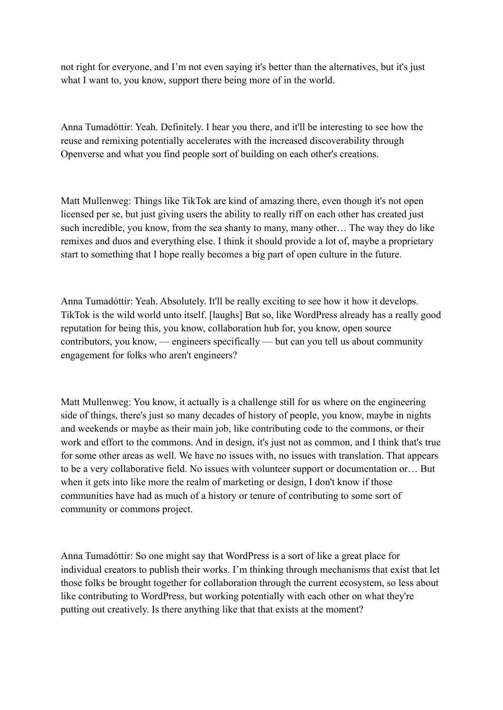not right for everyone, and I'm not even saying it's better than the alternatives, but it's just what I want to, you know, support there being more of in the world.

Anna Tumadóttir: Yeah. Definitely. I hear you there, and it'll be interesting to see how the reuse and remixing potentially accelerates with the increased discoverability through Openverse and what you find people sort of building on each other's creations.

Matt Mullenweg: Things like TikTok are kind of amazing there, even though it's not open licensed per se, but just giving users the ability to really riff on each other has created just such incredible, you know, from the sea shanty to many, many other… The way they do like remixes and duos and everything else. I think it should provide a lot of, maybe a proprietary start to something that I hope really becomes a big part of open culture in the future.

Anna Tumadóttir: Yeah. Absolutely. It'll be really exciting to see how it how it develops. TikTok is the wild world unto itself. [laughs] But so, like WordPress already has a really good reputation for being this, you know, collaboration hub for, you know, open source contributors, you know, — engineers specifically — but can you tell us about community engagement for folks who aren't engineers?

Matt Mullenweg: You know, it actually is a challenge still for us where on the engineering side of things, there's just so many decades of history of people, you know, maybe in nights and weekends or maybe as their main job, like contributing code to the commons, or their work and effort to the commons. And in design, it's just not as common, and I think that's true for some other areas as well. We have no issues with, no issues with translation. That appears to be a very collaborative field. No issues with volunteer support or documentation or… But when it gets into like more the realm of marketing or design, I don't know if those communities have had as much of a history or tenure of contributing to some sort of community or commons project.

Anna Tumadóttir: So one might say that WordPress is a sort of like a great place for individual creators to publish their works. I'm thinking through mechanisms that exist that let those folks be brought together for collaboration through the current ecosystem, so less about like contributing to WordPress, but working potentially with each other on what they're putting out creatively. Is there anything like that that exists at the moment?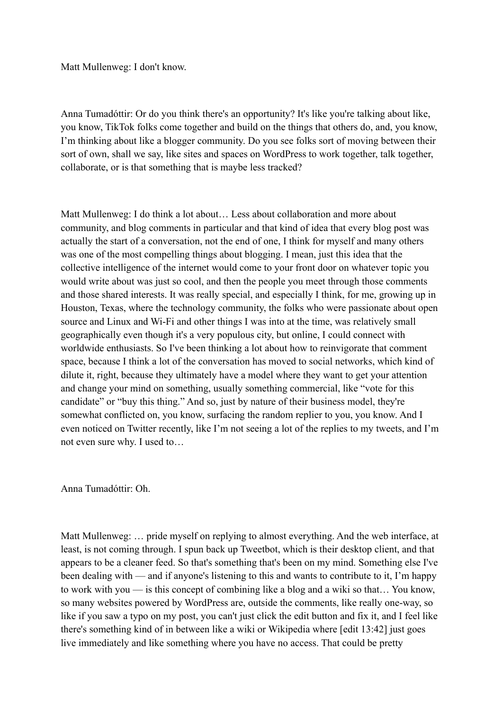Matt Mullenweg: I don't know.

Anna Tumadóttir: Or do you think there's an opportunity? It's like you're talking about like, you know, TikTok folks come together and build on the things that others do, and, you know, I'm thinking about like a blogger community. Do you see folks sort of moving between their sort of own, shall we say, like sites and spaces on WordPress to work together, talk together, collaborate, or is that something that is maybe less tracked?

Matt Mullenweg: I do think a lot about… Less about collaboration and more about community, and blog comments in particular and that kind of idea that every blog post was actually the start of a conversation, not the end of one, I think for myself and many others was one of the most compelling things about blogging. I mean, just this idea that the collective intelligence of the internet would come to your front door on whatever topic you would write about was just so cool, and then the people you meet through those comments and those shared interests. It was really special, and especially I think, for me, growing up in Houston, Texas, where the technology community, the folks who were passionate about open source and Linux and Wi-Fi and other things I was into at the time, was relatively small geographically even though it's a very populous city, but online, I could connect with worldwide enthusiasts. So I've been thinking a lot about how to reinvigorate that comment space, because I think a lot of the conversation has moved to social networks, which kind of dilute it, right, because they ultimately have a model where they want to get your attention and change your mind on something, usually something commercial, like "vote for this candidate" or "buy this thing." And so, just by nature of their business model, they're somewhat conflicted on, you know, surfacing the random replier to you, you know. And I even noticed on Twitter recently, like I'm not seeing a lot of the replies to my tweets, and I'm not even sure why. I used to…

Anna Tumadóttir: Oh.

Matt Mullenweg: … pride myself on replying to almost everything. And the web interface, at least, is not coming through. I spun back up Tweetbot, which is their desktop client, and that appears to be a cleaner feed. So that's something that's been on my mind. Something else I've been dealing with — and if anyone's listening to this and wants to contribute to it, I'm happy to work with you — is this concept of combining like a blog and a wiki so that… You know, so many websites powered by WordPress are, outside the comments, like really one-way, so like if you saw a typo on my post, you can't just click the edit button and fix it, and I feel like there's something kind of in between like a wiki or Wikipedia where [edit 13:42] just goes live immediately and like something where you have no access. That could be pretty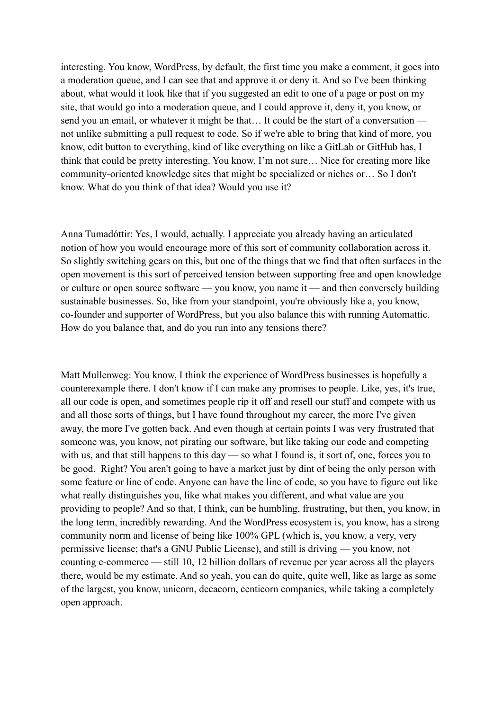interesting. You know, WordPress, by default, the first time you make a comment, it goes into a moderation queue, and I can see that and approve it or deny it. And so I've been thinking about, what would it look like that if you suggested an edit to one of a page or post on my site, that would go into a moderation queue, and I could approve it, deny it, you know, or send you an email, or whatever it might be that… It could be the start of a conversation not unlike submitting a pull request to code. So if we're able to bring that kind of more, you know, edit button to everything, kind of like everything on like a GitLab or GitHub has, I think that could be pretty interesting. You know, I'm not sure… Nice for creating more like community-oriented knowledge sites that might be specialized or niches or… So I don't know. What do you think of that idea? Would you use it?

Anna Tumadóttir: Yes, I would, actually. I appreciate you already having an articulated notion of how you would encourage more of this sort of community collaboration across it. So slightly switching gears on this, but one of the things that we find that often surfaces in the open movement is this sort of perceived tension between supporting free and open knowledge or culture or open source software — you know, you name it — and then conversely building sustainable businesses. So, like from your standpoint, you're obviously like a, you know, co-founder and supporter of WordPress, but you also balance this with running Automattic. How do you balance that, and do you run into any tensions there?

Matt Mullenweg: You know, I think the experience of WordPress businesses is hopefully a counterexample there. I don't know if I can make any promises to people. Like, yes, it's true, all our code is open, and sometimes people rip it off and resell our stuff and compete with us and all those sorts of things, but I have found throughout my career, the more I've given away, the more I've gotten back. And even though at certain points I was very frustrated that someone was, you know, not pirating our software, but like taking our code and competing with us, and that still happens to this day — so what I found is, it sort of, one, forces you to be good. Right? You aren't going to have a market just by dint of being the only person with some feature or line of code. Anyone can have the line of code, so you have to figure out like what really distinguishes you, like what makes you different, and what value are you providing to people? And so that, I think, can be humbling, frustrating, but then, you know, in the long term, incredibly rewarding. And the WordPress ecosystem is, you know, has a strong community norm and license of being like 100% GPL (which is, you know, a very, very permissive license; that's a GNU Public License), and still is driving — you know, not counting e-commerce — still 10, 12 billion dollars of revenue per year across all the players there, would be my estimate. And so yeah, you can do quite, quite well, like as large as some of the largest, you know, unicorn, decacorn, centicorn companies, while taking a completely open approach.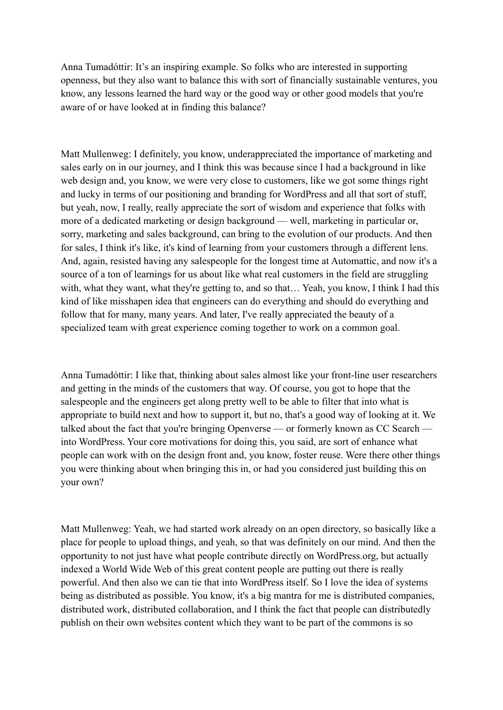Anna Tumadóttir: It's an inspiring example. So folks who are interested in supporting openness, but they also want to balance this with sort of financially sustainable ventures, you know, any lessons learned the hard way or the good way or other good models that you're aware of or have looked at in finding this balance?

Matt Mullenweg: I definitely, you know, underappreciated the importance of marketing and sales early on in our journey, and I think this was because since I had a background in like web design and, you know, we were very close to customers, like we got some things right and lucky in terms of our positioning and branding for WordPress and all that sort of stuff, but yeah, now, I really, really appreciate the sort of wisdom and experience that folks with more of a dedicated marketing or design background — well, marketing in particular or, sorry, marketing and sales background, can bring to the evolution of our products. And then for sales, I think it's like, it's kind of learning from your customers through a different lens. And, again, resisted having any salespeople for the longest time at Automattic, and now it's a source of a ton of learnings for us about like what real customers in the field are struggling with, what they want, what they're getting to, and so that... Yeah, you know, I think I had this kind of like misshapen idea that engineers can do everything and should do everything and follow that for many, many years. And later, I've really appreciated the beauty of a specialized team with great experience coming together to work on a common goal.

Anna Tumadóttir: I like that, thinking about sales almost like your front-line user researchers and getting in the minds of the customers that way. Of course, you got to hope that the salespeople and the engineers get along pretty well to be able to filter that into what is appropriate to build next and how to support it, but no, that's a good way of looking at it. We talked about the fact that you're bringing Openverse — or formerly known as CC Search into WordPress. Your core motivations for doing this, you said, are sort of enhance what people can work with on the design front and, you know, foster reuse. Were there other things you were thinking about when bringing this in, or had you considered just building this on your own?

Matt Mullenweg: Yeah, we had started work already on an open directory, so basically like a place for people to upload things, and yeah, so that was definitely on our mind. And then the opportunity to not just have what people contribute directly on WordPress.org, but actually indexed a World Wide Web of this great content people are putting out there is really powerful. And then also we can tie that into WordPress itself. So I love the idea of systems being as distributed as possible. You know, it's a big mantra for me is distributed companies, distributed work, distributed collaboration, and I think the fact that people can distributedly publish on their own websites content which they want to be part of the commons is so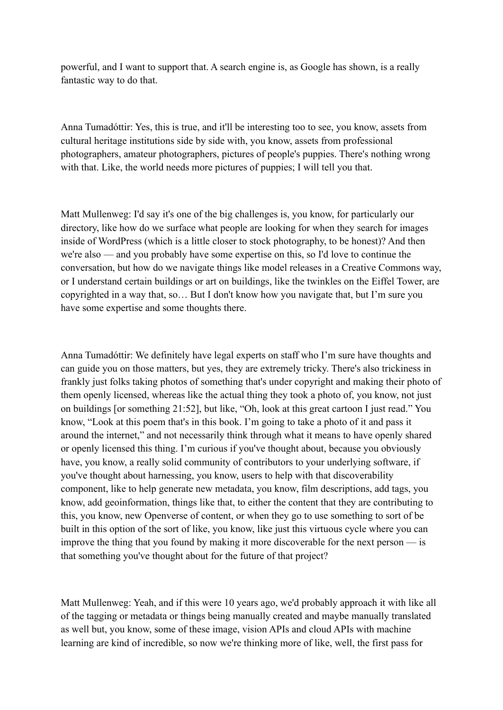powerful, and I want to support that. A search engine is, as Google has shown, is a really fantastic way to do that.

Anna Tumadóttir: Yes, this is true, and it'll be interesting too to see, you know, assets from cultural heritage institutions side by side with, you know, assets from professional photographers, amateur photographers, pictures of people's puppies. There's nothing wrong with that. Like, the world needs more pictures of puppies; I will tell you that.

Matt Mullenweg: I'd say it's one of the big challenges is, you know, for particularly our directory, like how do we surface what people are looking for when they search for images inside of WordPress (which is a little closer to stock photography, to be honest)? And then we're also — and you probably have some expertise on this, so I'd love to continue the conversation, but how do we navigate things like model releases in a Creative Commons way, or I understand certain buildings or art on buildings, like the twinkles on the Eiffel Tower, are copyrighted in a way that, so… But I don't know how you navigate that, but I'm sure you have some expertise and some thoughts there.

Anna Tumadóttir: We definitely have legal experts on staff who I'm sure have thoughts and can guide you on those matters, but yes, they are extremely tricky. There's also trickiness in frankly just folks taking photos of something that's under copyright and making their photo of them openly licensed, whereas like the actual thing they took a photo of, you know, not just on buildings [or something 21:52], but like, "Oh, look at this great cartoon I just read." You know, "Look at this poem that's in this book. I'm going to take a photo of it and pass it around the internet," and not necessarily think through what it means to have openly shared or openly licensed this thing. I'm curious if you've thought about, because you obviously have, you know, a really solid community of contributors to your underlying software, if you've thought about harnessing, you know, users to help with that discoverability component, like to help generate new metadata, you know, film descriptions, add tags, you know, add geoinformation, things like that, to either the content that they are contributing to this, you know, new Openverse of content, or when they go to use something to sort of be built in this option of the sort of like, you know, like just this virtuous cycle where you can improve the thing that you found by making it more discoverable for the next person — is that something you've thought about for the future of that project?

Matt Mullenweg: Yeah, and if this were 10 years ago, we'd probably approach it with like all of the tagging or metadata or things being manually created and maybe manually translated as well but, you know, some of these image, vision APIs and cloud APIs with machine learning are kind of incredible, so now we're thinking more of like, well, the first pass for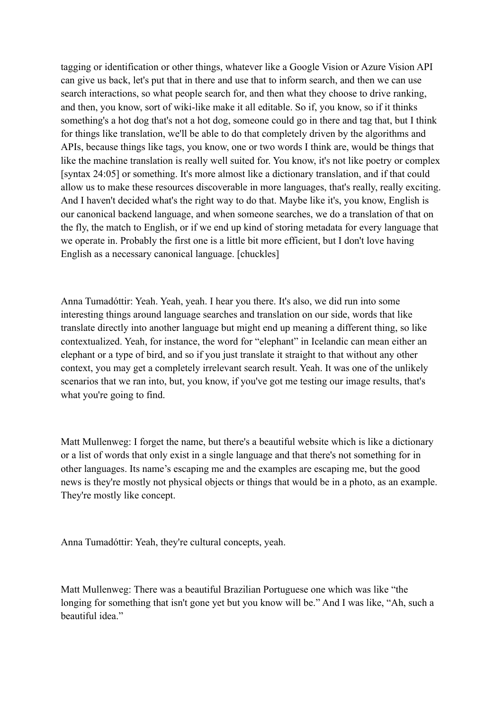tagging or identification or other things, whatever like a Google Vision or Azure Vision API can give us back, let's put that in there and use that to inform search, and then we can use search interactions, so what people search for, and then what they choose to drive ranking, and then, you know, sort of wiki-like make it all editable. So if, you know, so if it thinks something's a hot dog that's not a hot dog, someone could go in there and tag that, but I think for things like translation, we'll be able to do that completely driven by the algorithms and APIs, because things like tags, you know, one or two words I think are, would be things that like the machine translation is really well suited for. You know, it's not like poetry or complex [syntax 24:05] or something. It's more almost like a dictionary translation, and if that could allow us to make these resources discoverable in more languages, that's really, really exciting. And I haven't decided what's the right way to do that. Maybe like it's, you know, English is our canonical backend language, and when someone searches, we do a translation of that on the fly, the match to English, or if we end up kind of storing metadata for every language that we operate in. Probably the first one is a little bit more efficient, but I don't love having English as a necessary canonical language. [chuckles]

Anna Tumadóttir: Yeah. Yeah, yeah. I hear you there. It's also, we did run into some interesting things around language searches and translation on our side, words that like translate directly into another language but might end up meaning a different thing, so like contextualized. Yeah, for instance, the word for "elephant" in Icelandic can mean either an elephant or a type of bird, and so if you just translate it straight to that without any other context, you may get a completely irrelevant search result. Yeah. It was one of the unlikely scenarios that we ran into, but, you know, if you've got me testing our image results, that's what you're going to find.

Matt Mullenweg: I forget the name, but there's a beautiful website which is like a dictionary or a list of words that only exist in a single language and that there's not something for in other languages. Its name's escaping me and the examples are escaping me, but the good news is they're mostly not physical objects or things that would be in a photo, as an example. They're mostly like concept.

Anna Tumadóttir: Yeah, they're cultural concepts, yeah.

Matt Mullenweg: There was a beautiful Brazilian Portuguese one which was like "the longing for something that isn't gone yet but you know will be." And I was like, "Ah, such a beautiful idea"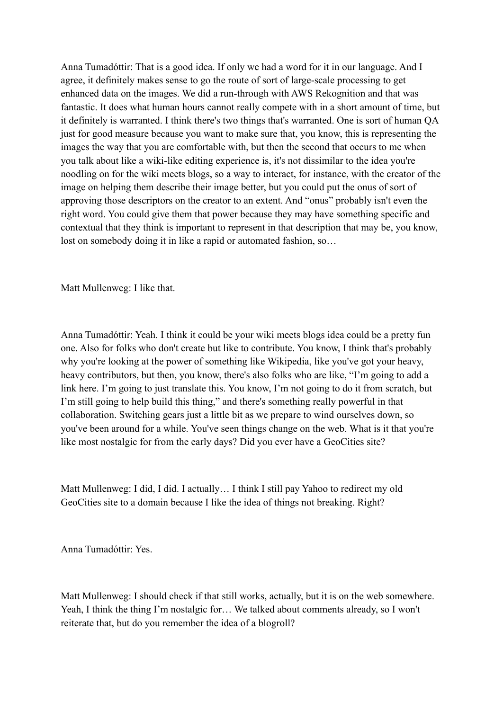Anna Tumadóttir: That is a good idea. If only we had a word for it in our language. And I agree, it definitely makes sense to go the route of sort of large-scale processing to get enhanced data on the images. We did a run-through with AWS Rekognition and that was fantastic. It does what human hours cannot really compete with in a short amount of time, but it definitely is warranted. I think there's two things that's warranted. One is sort of human QA just for good measure because you want to make sure that, you know, this is representing the images the way that you are comfortable with, but then the second that occurs to me when you talk about like a wiki-like editing experience is, it's not dissimilar to the idea you're noodling on for the wiki meets blogs, so a way to interact, for instance, with the creator of the image on helping them describe their image better, but you could put the onus of sort of approving those descriptors on the creator to an extent. And "onus" probably isn't even the right word. You could give them that power because they may have something specific and contextual that they think is important to represent in that description that may be, you know, lost on somebody doing it in like a rapid or automated fashion, so…

Matt Mullenweg: I like that.

Anna Tumadóttir: Yeah. I think it could be your wiki meets blogs idea could be a pretty fun one. Also for folks who don't create but like to contribute. You know, I think that's probably why you're looking at the power of something like Wikipedia, like you've got your heavy, heavy contributors, but then, you know, there's also folks who are like, "I'm going to add a link here. I'm going to just translate this. You know, I'm not going to do it from scratch, but I'm still going to help build this thing," and there's something really powerful in that collaboration. Switching gears just a little bit as we prepare to wind ourselves down, so you've been around for a while. You've seen things change on the web. What is it that you're like most nostalgic for from the early days? Did you ever have a GeoCities site?

Matt Mullenweg: I did, I did. I actually… I think I still pay Yahoo to redirect my old GeoCities site to a domain because I like the idea of things not breaking. Right?

Anna Tumadóttir: Yes.

Matt Mullenweg: I should check if that still works, actually, but it is on the web somewhere. Yeah, I think the thing I'm nostalgic for… We talked about comments already, so I won't reiterate that, but do you remember the idea of a blogroll?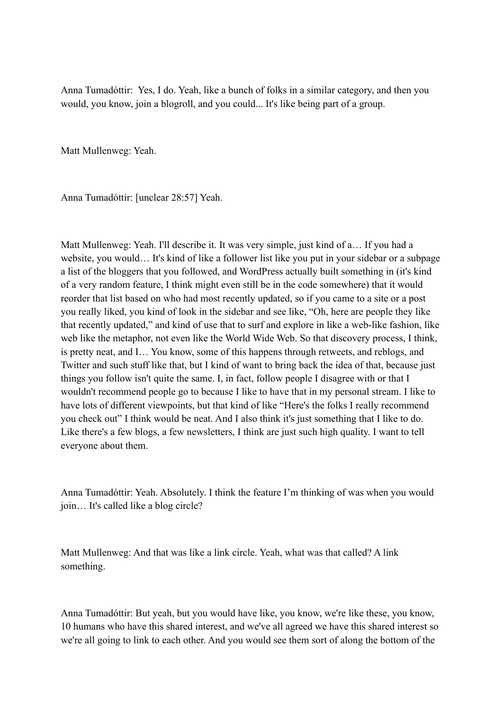Anna Tumadóttir: Yes, I do. Yeah, like a bunch of folks in a similar category, and then you would, you know, join a blogroll, and you could... It's like being part of a group.

Matt Mullenweg: Yeah.

Anna Tumadóttir: [unclear 28:57] Yeah.

Matt Mullenweg: Yeah. I'll describe it. It was very simple, just kind of a… If you had a website, you would… It's kind of like a follower list like you put in your sidebar or a subpage a list of the bloggers that you followed, and WordPress actually built something in (it's kind of a very random feature, I think might even still be in the code somewhere) that it would reorder that list based on who had most recently updated, so if you came to a site or a post you really liked, you kind of look in the sidebar and see like, "Oh, here are people they like that recently updated," and kind of use that to surf and explore in like a web-like fashion, like web like the metaphor, not even like the World Wide Web. So that discovery process, I think, is pretty neat, and I… You know, some of this happens through retweets, and reblogs, and Twitter and such stuff like that, but I kind of want to bring back the idea of that, because just things you follow isn't quite the same. I, in fact, follow people I disagree with or that I wouldn't recommend people go to because I like to have that in my personal stream. I like to have lots of different viewpoints, but that kind of like "Here's the folks I really recommend you check out" I think would be neat. And I also think it's just something that I like to do. Like there's a few blogs, a few newsletters, I think are just such high quality. I want to tell everyone about them.

Anna Tumadóttir: Yeah. Absolutely. I think the feature I'm thinking of was when you would join… It's called like a blog circle?

Matt Mullenweg: And that was like a link circle. Yeah, what was that called? A link something.

Anna Tumadóttir: But yeah, but you would have like, you know, we're like these, you know, 10 humans who have this shared interest, and we've all agreed we have this shared interest so we're all going to link to each other. And you would see them sort of along the bottom of the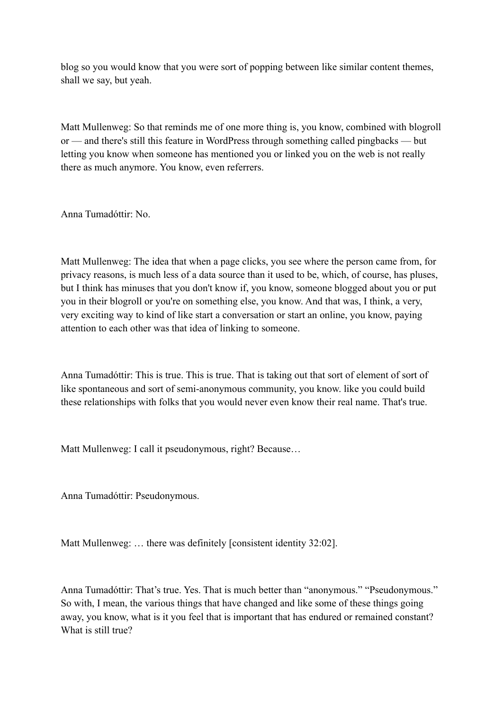blog so you would know that you were sort of popping between like similar content themes, shall we say, but yeah.

Matt Mullenweg: So that reminds me of one more thing is, you know, combined with blogroll or — and there's still this feature in WordPress through something called pingbacks — but letting you know when someone has mentioned you or linked you on the web is not really there as much anymore. You know, even referrers.

Anna Tumadóttir: No.

Matt Mullenweg: The idea that when a page clicks, you see where the person came from, for privacy reasons, is much less of a data source than it used to be, which, of course, has pluses, but I think has minuses that you don't know if, you know, someone blogged about you or put you in their blogroll or you're on something else, you know. And that was, I think, a very, very exciting way to kind of like start a conversation or start an online, you know, paying attention to each other was that idea of linking to someone.

Anna Tumadóttir: This is true. This is true. That is taking out that sort of element of sort of like spontaneous and sort of semi-anonymous community, you know. like you could build these relationships with folks that you would never even know their real name. That's true.

Matt Mullenweg: I call it pseudonymous, right? Because…

Anna Tumadóttir: Pseudonymous.

Matt Mullenweg: ... there was definitely [consistent identity 32:02].

Anna Tumadóttir: That's true. Yes. That is much better than "anonymous." "Pseudonymous." So with, I mean, the various things that have changed and like some of these things going away, you know, what is it you feel that is important that has endured or remained constant? What is still true?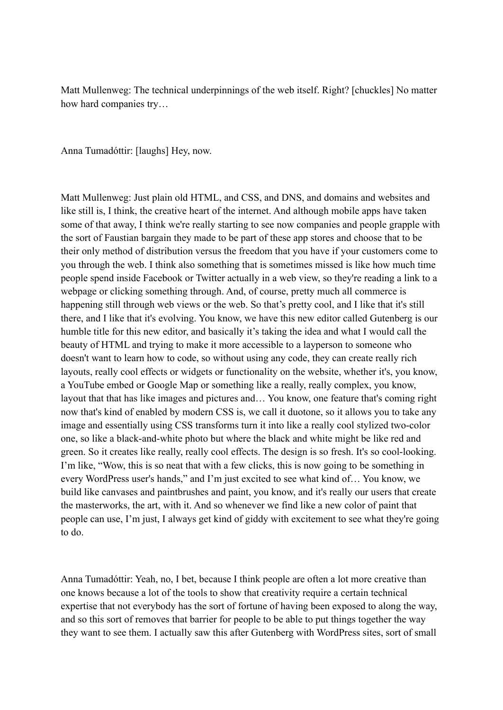Matt Mullenweg: The technical underpinnings of the web itself. Right? [chuckles] No matter how hard companies try…

Anna Tumadóttir: [laughs] Hey, now.

Matt Mullenweg: Just plain old HTML, and CSS, and DNS, and domains and websites and like still is, I think, the creative heart of the internet. And although mobile apps have taken some of that away, I think we're really starting to see now companies and people grapple with the sort of Faustian bargain they made to be part of these app stores and choose that to be their only method of distribution versus the freedom that you have if your customers come to you through the web. I think also something that is sometimes missed is like how much time people spend inside Facebook or Twitter actually in a web view, so they're reading a link to a webpage or clicking something through. And, of course, pretty much all commerce is happening still through web views or the web. So that's pretty cool, and I like that it's still there, and I like that it's evolving. You know, we have this new editor called Gutenberg is our humble title for this new editor, and basically it's taking the idea and what I would call the beauty of HTML and trying to make it more accessible to a layperson to someone who doesn't want to learn how to code, so without using any code, they can create really rich layouts, really cool effects or widgets or functionality on the website, whether it's, you know, a YouTube embed or Google Map or something like a really, really complex, you know, layout that that has like images and pictures and… You know, one feature that's coming right now that's kind of enabled by modern CSS is, we call it duotone, so it allows you to take any image and essentially using CSS transforms turn it into like a really cool stylized two-color one, so like a black-and-white photo but where the black and white might be like red and green. So it creates like really, really cool effects. The design is so fresh. It's so cool-looking. I'm like, "Wow, this is so neat that with a few clicks, this is now going to be something in every WordPress user's hands," and I'm just excited to see what kind of… You know, we build like canvases and paintbrushes and paint, you know, and it's really our users that create the masterworks, the art, with it. And so whenever we find like a new color of paint that people can use, I'm just, I always get kind of giddy with excitement to see what they're going to do.

Anna Tumadóttir: Yeah, no, I bet, because I think people are often a lot more creative than one knows because a lot of the tools to show that creativity require a certain technical expertise that not everybody has the sort of fortune of having been exposed to along the way, and so this sort of removes that barrier for people to be able to put things together the way they want to see them. I actually saw this after Gutenberg with WordPress sites, sort of small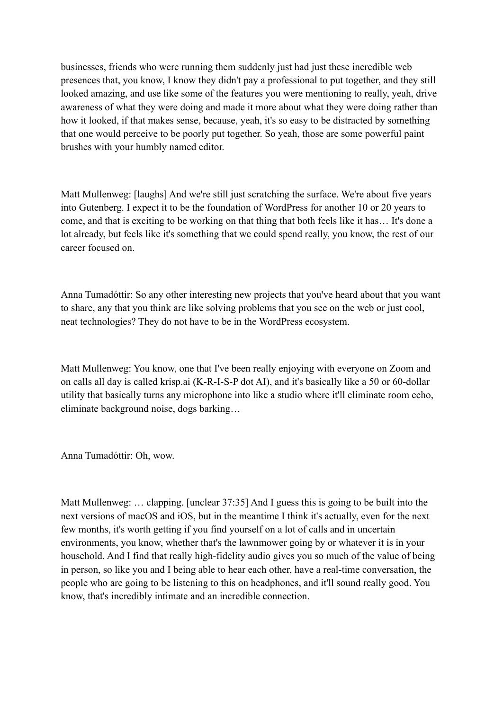businesses, friends who were running them suddenly just had just these incredible web presences that, you know, I know they didn't pay a professional to put together, and they still looked amazing, and use like some of the features you were mentioning to really, yeah, drive awareness of what they were doing and made it more about what they were doing rather than how it looked, if that makes sense, because, yeah, it's so easy to be distracted by something that one would perceive to be poorly put together. So yeah, those are some powerful paint brushes with your humbly named editor.

Matt Mullenweg: [laughs] And we're still just scratching the surface. We're about five years into Gutenberg. I expect it to be the foundation of WordPress for another 10 or 20 years to come, and that is exciting to be working on that thing that both feels like it has… It's done a lot already, but feels like it's something that we could spend really, you know, the rest of our career focused on.

Anna Tumadóttir: So any other interesting new projects that you've heard about that you want to share, any that you think are like solving problems that you see on the web or just cool, neat technologies? They do not have to be in the WordPress ecosystem.

Matt Mullenweg: You know, one that I've been really enjoying with everyone on Zoom and on calls all day is called krisp.ai (K-R-I-S-P dot AI), and it's basically like a 50 or 60-dollar utility that basically turns any microphone into like a studio where it'll eliminate room echo, eliminate background noise, dogs barking…

Anna Tumadóttir: Oh, wow.

Matt Mullenweg: … clapping. [unclear 37:35] And I guess this is going to be built into the next versions of macOS and iOS, but in the meantime I think it's actually, even for the next few months, it's worth getting if you find yourself on a lot of calls and in uncertain environments, you know, whether that's the lawnmower going by or whatever it is in your household. And I find that really high-fidelity audio gives you so much of the value of being in person, so like you and I being able to hear each other, have a real-time conversation, the people who are going to be listening to this on headphones, and it'll sound really good. You know, that's incredibly intimate and an incredible connection.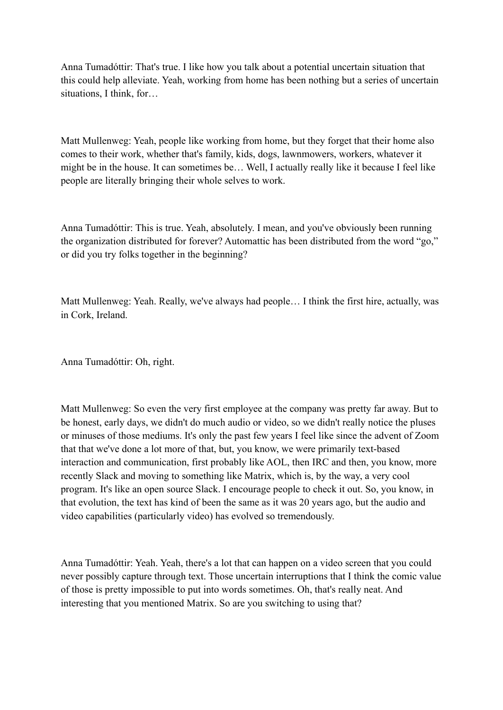Anna Tumadóttir: That's true. I like how you talk about a potential uncertain situation that this could help alleviate. Yeah, working from home has been nothing but a series of uncertain situations, I think, for…

Matt Mullenweg: Yeah, people like working from home, but they forget that their home also comes to their work, whether that's family, kids, dogs, lawnmowers, workers, whatever it might be in the house. It can sometimes be… Well, I actually really like it because I feel like people are literally bringing their whole selves to work.

Anna Tumadóttir: This is true. Yeah, absolutely. I mean, and you've obviously been running the organization distributed for forever? Automattic has been distributed from the word "go," or did you try folks together in the beginning?

Matt Mullenweg: Yeah. Really, we've always had people… I think the first hire, actually, was in Cork, Ireland.

Anna Tumadóttir: Oh, right.

Matt Mullenweg: So even the very first employee at the company was pretty far away. But to be honest, early days, we didn't do much audio or video, so we didn't really notice the pluses or minuses of those mediums. It's only the past few years I feel like since the advent of Zoom that that we've done a lot more of that, but, you know, we were primarily text-based interaction and communication, first probably like AOL, then IRC and then, you know, more recently Slack and moving to something like Matrix, which is, by the way, a very cool program. It's like an open source Slack. I encourage people to check it out. So, you know, in that evolution, the text has kind of been the same as it was 20 years ago, but the audio and video capabilities (particularly video) has evolved so tremendously.

Anna Tumadóttir: Yeah. Yeah, there's a lot that can happen on a video screen that you could never possibly capture through text. Those uncertain interruptions that I think the comic value of those is pretty impossible to put into words sometimes. Oh, that's really neat. And interesting that you mentioned Matrix. So are you switching to using that?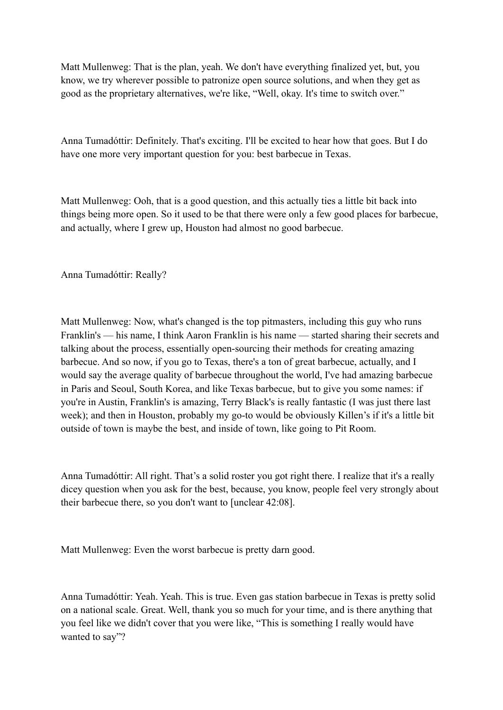Matt Mullenweg: That is the plan, yeah. We don't have everything finalized yet, but, you know, we try wherever possible to patronize open source solutions, and when they get as good as the proprietary alternatives, we're like, "Well, okay. It's time to switch over."

Anna Tumadóttir: Definitely. That's exciting. I'll be excited to hear how that goes. But I do have one more very important question for you: best barbecue in Texas.

Matt Mullenweg: Ooh, that is a good question, and this actually ties a little bit back into things being more open. So it used to be that there were only a few good places for barbecue, and actually, where I grew up, Houston had almost no good barbecue.

Anna Tumadóttir: Really?

Matt Mullenweg: Now, what's changed is the top pitmasters, including this guy who runs Franklin's — his name, I think Aaron Franklin is his name — started sharing their secrets and talking about the process, essentially open-sourcing their methods for creating amazing barbecue. And so now, if you go to Texas, there's a ton of great barbecue, actually, and I would say the average quality of barbecue throughout the world, I've had amazing barbecue in Paris and Seoul, South Korea, and like Texas barbecue, but to give you some names: if you're in Austin, Franklin's is amazing, Terry Black's is really fantastic (I was just there last week); and then in Houston, probably my go-to would be obviously Killen's if it's a little bit outside of town is maybe the best, and inside of town, like going to Pit Room.

Anna Tumadóttir: All right. That's a solid roster you got right there. I realize that it's a really dicey question when you ask for the best, because, you know, people feel very strongly about their barbecue there, so you don't want to [unclear 42:08].

Matt Mullenweg: Even the worst barbecue is pretty darn good.

Anna Tumadóttir: Yeah. Yeah. This is true. Even gas station barbecue in Texas is pretty solid on a national scale. Great. Well, thank you so much for your time, and is there anything that you feel like we didn't cover that you were like, "This is something I really would have wanted to say"?